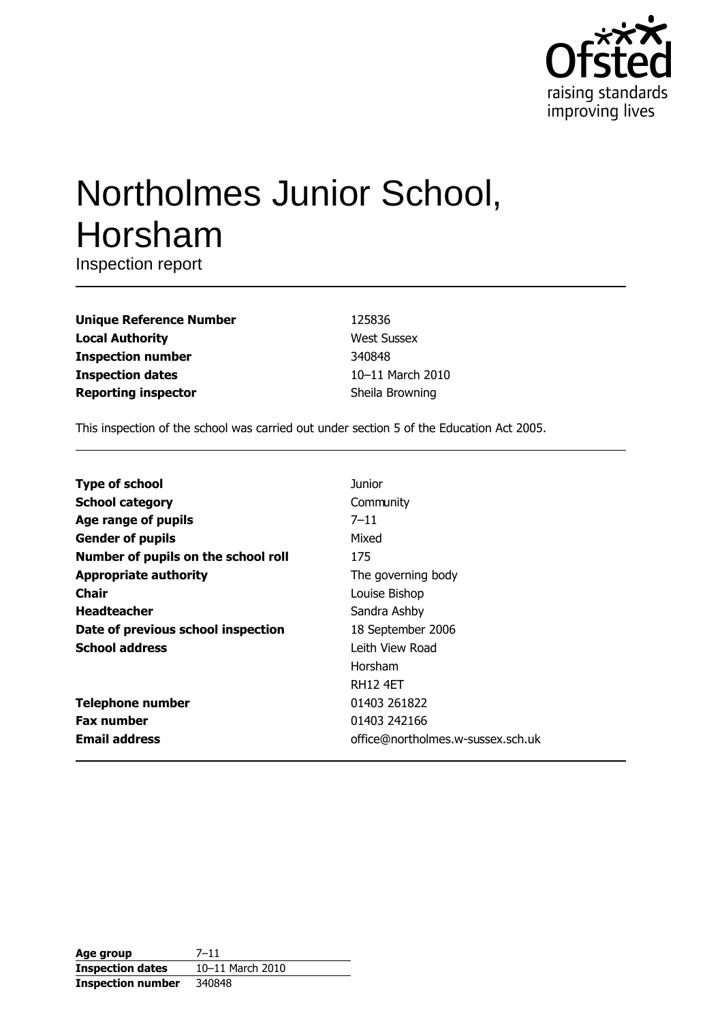

# Northolmes Junior School, Horsham

Inspection report

| <b>Unique Reference Number</b> |
|--------------------------------|
| <b>Local Authority</b>         |
| <b>Inspection number</b>       |
| <b>Inspection dates</b>        |
| <b>Reporting inspector</b>     |

125836 **West Sussex** 340848 10-11 March 2010 Sheila Browning

This inspection of the school was carried out under section 5 of the Education Act 2005.

| <b>Type of school</b>               | Junior                            |
|-------------------------------------|-----------------------------------|
| <b>School category</b>              | Community                         |
| Age range of pupils                 | $7 - 11$                          |
| <b>Gender of pupils</b>             | Mixed                             |
| Number of pupils on the school roll | 175                               |
| <b>Appropriate authority</b>        | The governing body                |
| <b>Chair</b>                        | Louise Bishop                     |
| <b>Headteacher</b>                  | Sandra Ashby                      |
| Date of previous school inspection  | 18 September 2006                 |
| <b>School address</b>               | Leith View Road                   |
|                                     | Horsham                           |
|                                     | <b>RH12 4FT</b>                   |
| <b>Telephone number</b>             | 01403 261822                      |
| <b>Fax number</b>                   | 01403 242166                      |
| <b>Email address</b>                | office@northolmes.w-sussex.sch.uk |

| Age group                | $7 - 11$         |
|--------------------------|------------------|
| <b>Inspection dates</b>  | 10-11 March 2010 |
| <b>Inspection number</b> | 340848           |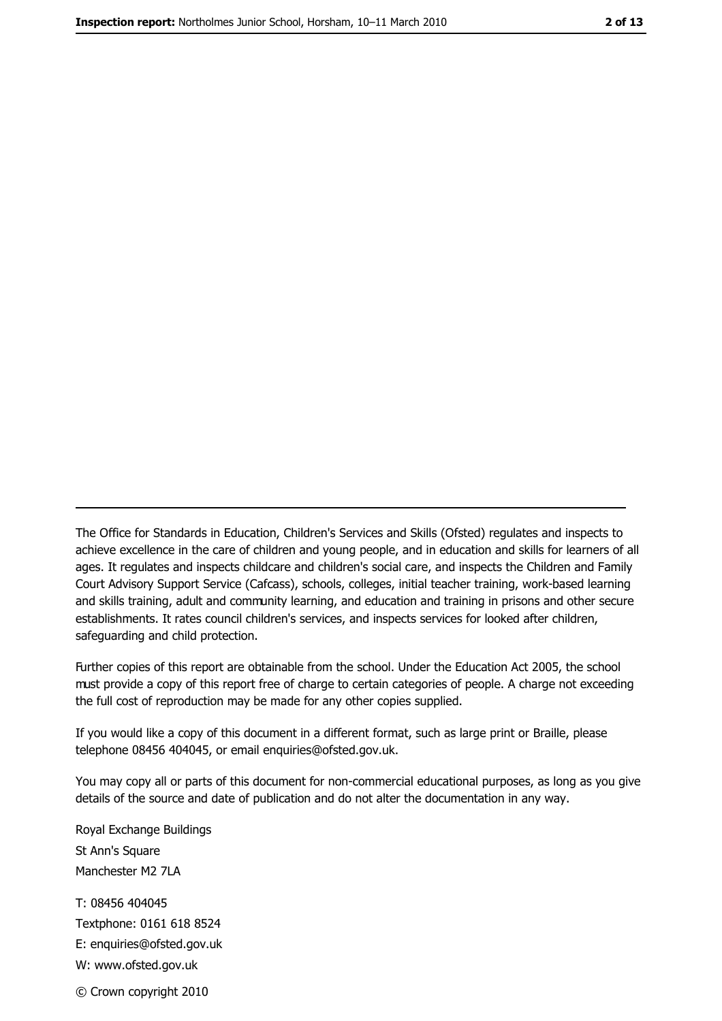The Office for Standards in Education, Children's Services and Skills (Ofsted) regulates and inspects to achieve excellence in the care of children and young people, and in education and skills for learners of all ages. It regulates and inspects childcare and children's social care, and inspects the Children and Family Court Advisory Support Service (Cafcass), schools, colleges, initial teacher training, work-based learning and skills training, adult and community learning, and education and training in prisons and other secure establishments. It rates council children's services, and inspects services for looked after children, safequarding and child protection.

Further copies of this report are obtainable from the school. Under the Education Act 2005, the school must provide a copy of this report free of charge to certain categories of people. A charge not exceeding the full cost of reproduction may be made for any other copies supplied.

If you would like a copy of this document in a different format, such as large print or Braille, please telephone 08456 404045, or email enquiries@ofsted.gov.uk.

You may copy all or parts of this document for non-commercial educational purposes, as long as you give details of the source and date of publication and do not alter the documentation in any way.

Royal Exchange Buildings St Ann's Square Manchester M2 7LA T: 08456 404045 Textphone: 0161 618 8524 E: enquiries@ofsted.gov.uk W: www.ofsted.gov.uk © Crown copyright 2010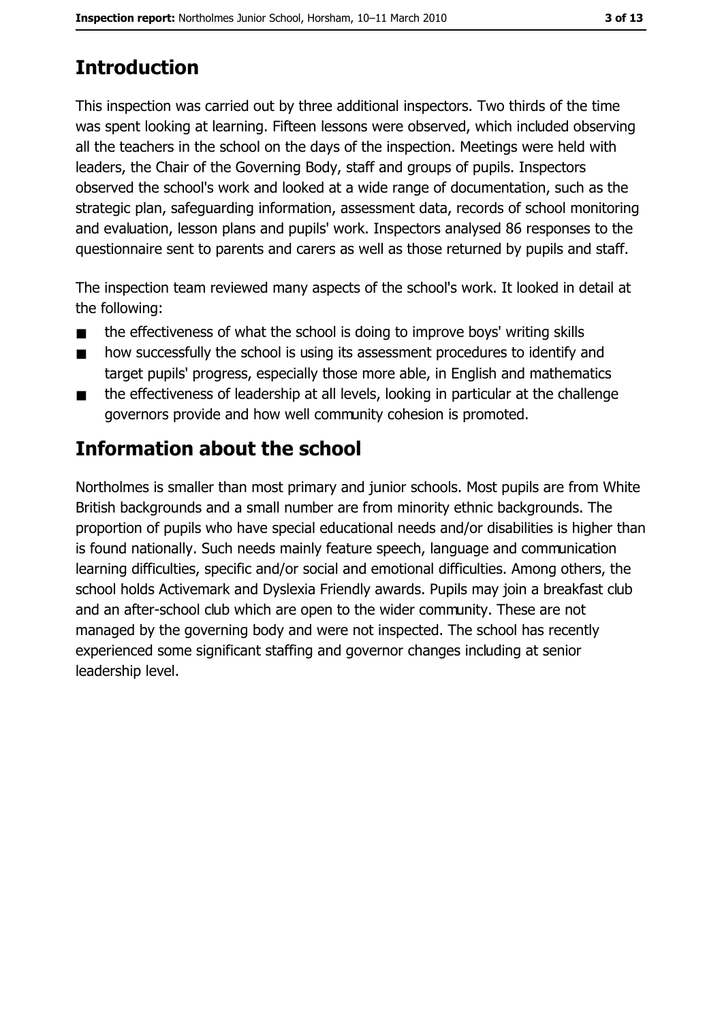# **Introduction**

This inspection was carried out by three additional inspectors. Two thirds of the time was spent looking at learning. Fifteen lessons were observed, which included observing all the teachers in the school on the days of the inspection. Meetings were held with leaders, the Chair of the Governing Body, staff and groups of pupils. Inspectors observed the school's work and looked at a wide range of documentation, such as the strategic plan, safeguarding information, assessment data, records of school monitoring and evaluation, lesson plans and pupils' work. Inspectors analysed 86 responses to the questionnaire sent to parents and carers as well as those returned by pupils and staff.

The inspection team reviewed many aspects of the school's work. It looked in detail at the following:

- the effectiveness of what the school is doing to improve boys' writing skills  $\blacksquare$
- how successfully the school is using its assessment procedures to identify and  $\blacksquare$ target pupils' progress, especially those more able, in English and mathematics
- the effectiveness of leadership at all levels, looking in particular at the challenge  $\blacksquare$ governors provide and how well community cohesion is promoted.

# Information about the school

Northolmes is smaller than most primary and junior schools. Most pupils are from White British backgrounds and a small number are from minority ethnic backgrounds. The proportion of pupils who have special educational needs and/or disabilities is higher than is found nationally. Such needs mainly feature speech, language and communication learning difficulties, specific and/or social and emotional difficulties. Among others, the school holds Activemark and Dyslexia Friendly awards. Pupils may join a breakfast club and an after-school club which are open to the wider community. These are not managed by the governing body and were not inspected. The school has recently experienced some significant staffing and governor changes including at senior leadership level.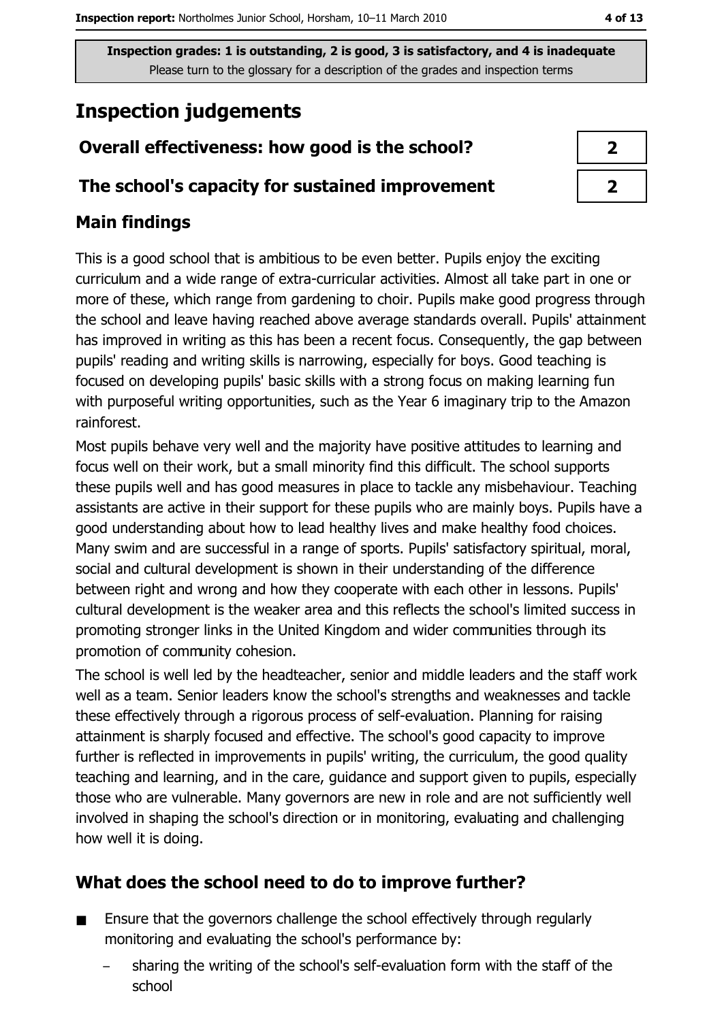# **Inspection judgements**

## Overall effectiveness: how good is the school?

### The school's capacity for sustained improvement

## **Main findings**

This is a good school that is ambitious to be even better. Pupils enjoy the exciting curriculum and a wide range of extra-curricular activities. Almost all take part in one or more of these, which range from gardening to choir. Pupils make good progress through the school and leave having reached above average standards overall. Pupils' attainment has improved in writing as this has been a recent focus. Consequently, the gap between pupils' reading and writing skills is narrowing, especially for boys. Good teaching is focused on developing pupils' basic skills with a strong focus on making learning fun with purposeful writing opportunities, such as the Year 6 imaginary trip to the Amazon rainforest.

Most pupils behave very well and the majority have positive attitudes to learning and focus well on their work, but a small minority find this difficult. The school supports these pupils well and has good measures in place to tackle any misbehaviour. Teaching assistants are active in their support for these pupils who are mainly boys. Pupils have a good understanding about how to lead healthy lives and make healthy food choices. Many swim and are successful in a range of sports. Pupils' satisfactory spiritual, moral, social and cultural development is shown in their understanding of the difference between right and wrong and how they cooperate with each other in lessons. Pupils' cultural development is the weaker area and this reflects the school's limited success in promoting stronger links in the United Kingdom and wider communities through its promotion of community cohesion.

The school is well led by the headteacher, senior and middle leaders and the staff work well as a team. Senior leaders know the school's strengths and weaknesses and tackle these effectively through a rigorous process of self-evaluation. Planning for raising attainment is sharply focused and effective. The school's good capacity to improve further is reflected in improvements in pupils' writing, the curriculum, the good quality teaching and learning, and in the care, guidance and support given to pupils, especially those who are vulnerable. Many governors are new in role and are not sufficiently well involved in shaping the school's direction or in monitoring, evaluating and challenging how well it is doing.

## What does the school need to do to improve further?

- Ensure that the governors challenge the school effectively through regularly  $\blacksquare$ monitoring and evaluating the school's performance by:
	- sharing the writing of the school's self-evaluation form with the staff of the school

| 7 |  |
|---|--|
| 7 |  |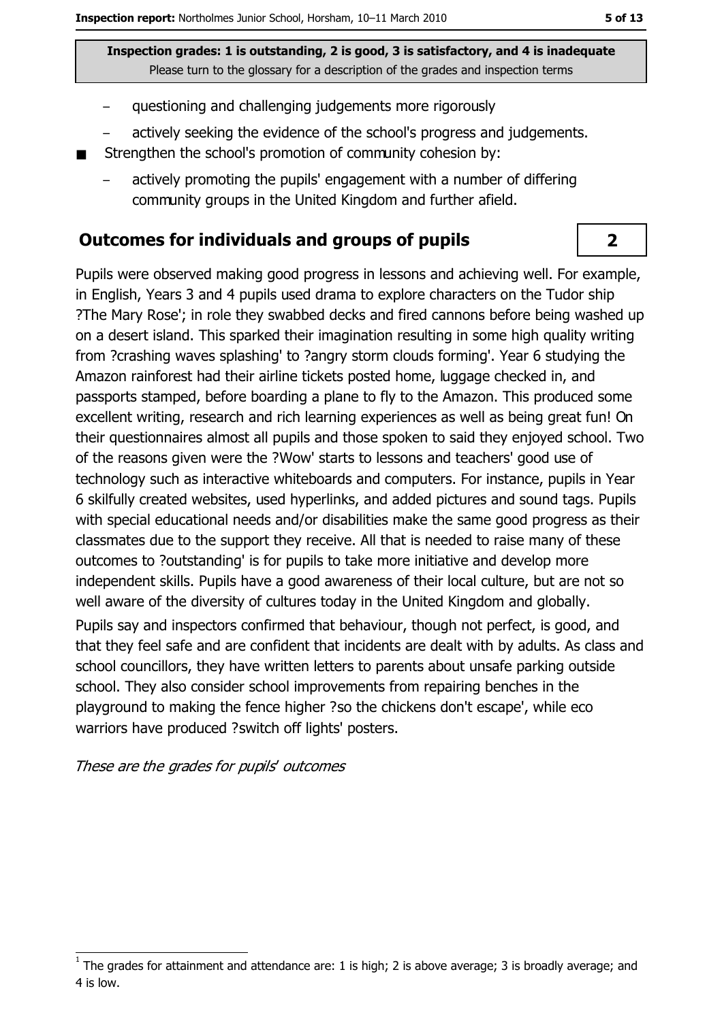- questioning and challenging judgements more rigorously
- actively seeking the evidence of the school's progress and judgements.
- Strengthen the school's promotion of community cohesion by:
	- actively promoting the pupils' engagement with a number of differing community groups in the United Kingdom and further afield.

#### **Outcomes for individuals and groups of pupils**

Pupils were observed making good progress in lessons and achieving well. For example, in English, Years 3 and 4 pupils used drama to explore characters on the Tudor ship ?The Mary Rose'; in role they swabbed decks and fired cannons before being washed up on a desert island. This sparked their imagination resulting in some high quality writing from ?crashing waves splashing' to ?angry storm clouds forming'. Year 6 studying the Amazon rainforest had their airline tickets posted home, luggage checked in, and passports stamped, before boarding a plane to fly to the Amazon. This produced some excellent writing, research and rich learning experiences as well as being great fun! On their questionnaires almost all pupils and those spoken to said they enjoyed school. Two of the reasons given were the ?Wow' starts to lessons and teachers' good use of technology such as interactive whiteboards and computers. For instance, pupils in Year 6 skilfully created websites, used hyperlinks, and added pictures and sound tags. Pupils with special educational needs and/or disabilities make the same good progress as their classmates due to the support they receive. All that is needed to raise many of these outcomes to ?outstanding' is for pupils to take more initiative and develop more independent skills. Pupils have a good awareness of their local culture, but are not so well aware of the diversity of cultures today in the United Kingdom and globally.

Pupils say and inspectors confirmed that behaviour, though not perfect, is good, and that they feel safe and are confident that incidents are dealt with by adults. As class and school councillors, they have written letters to parents about unsafe parking outside school. They also consider school improvements from repairing benches in the playground to making the fence higher ?so the chickens don't escape', while eco warriors have produced ?switch off lights' posters.

These are the grades for pupils' outcomes

 $\overline{2}$ 

The grades for attainment and attendance are: 1 is high; 2 is above average; 3 is broadly average; and 4 is low.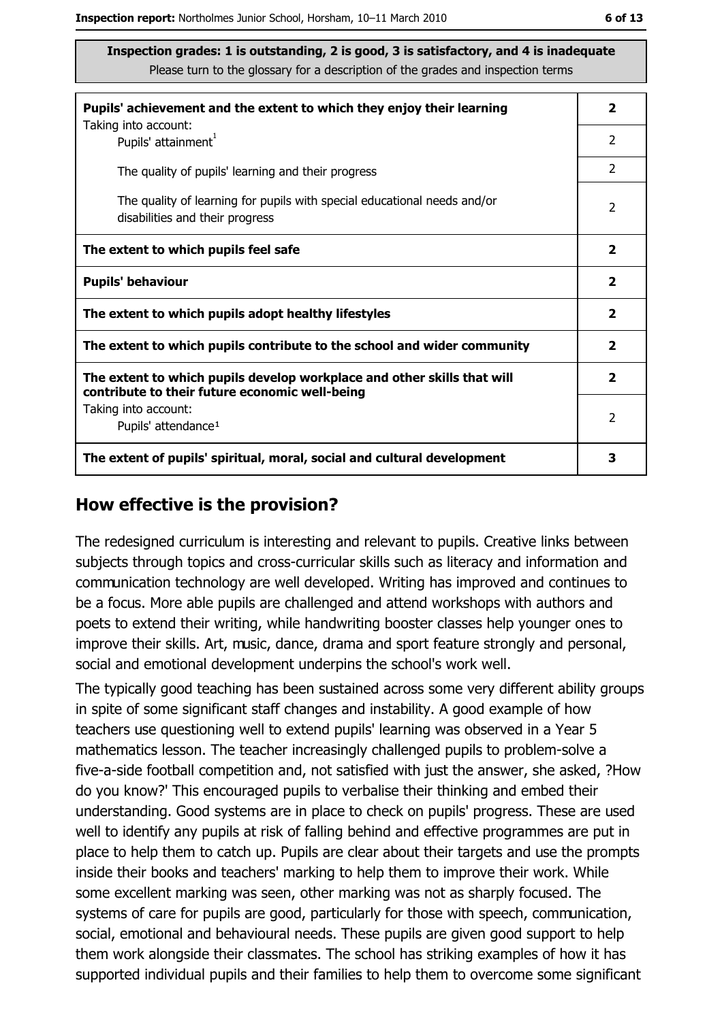| Pupils' achievement and the extent to which they enjoy their learning                                                     |                |  |  |
|---------------------------------------------------------------------------------------------------------------------------|----------------|--|--|
| Taking into account:<br>Pupils' attainment <sup>1</sup>                                                                   | 2              |  |  |
| The quality of pupils' learning and their progress                                                                        | $\overline{2}$ |  |  |
| The quality of learning for pupils with special educational needs and/or<br>disabilities and their progress               |                |  |  |
| The extent to which pupils feel safe                                                                                      |                |  |  |
| <b>Pupils' behaviour</b>                                                                                                  |                |  |  |
| The extent to which pupils adopt healthy lifestyles                                                                       |                |  |  |
| The extent to which pupils contribute to the school and wider community                                                   |                |  |  |
| The extent to which pupils develop workplace and other skills that will<br>contribute to their future economic well-being |                |  |  |
| Taking into account:<br>Pupils' attendance <sup>1</sup>                                                                   |                |  |  |
| The extent of pupils' spiritual, moral, social and cultural development                                                   |                |  |  |

#### How effective is the provision?

The redesigned curriculum is interesting and relevant to pupils. Creative links between subjects through topics and cross-curricular skills such as literacy and information and communication technology are well developed. Writing has improved and continues to be a focus. More able pupils are challenged and attend workshops with authors and poets to extend their writing, while handwriting booster classes help younger ones to improve their skills. Art, music, dance, drama and sport feature strongly and personal, social and emotional development underpins the school's work well.

The typically good teaching has been sustained across some very different ability groups in spite of some significant staff changes and instability. A good example of how teachers use questioning well to extend pupils' learning was observed in a Year 5 mathematics lesson. The teacher increasingly challenged pupils to problem-solve a five-a-side football competition and, not satisfied with just the answer, she asked, ?How do you know?' This encouraged pupils to verbalise their thinking and embed their understanding. Good systems are in place to check on pupils' progress. These are used well to identify any pupils at risk of falling behind and effective programmes are put in place to help them to catch up. Pupils are clear about their targets and use the prompts inside their books and teachers' marking to help them to improve their work. While some excellent marking was seen, other marking was not as sharply focused. The systems of care for pupils are good, particularly for those with speech, communication, social, emotional and behavioural needs. These pupils are given good support to help them work alongside their classmates. The school has striking examples of how it has supported individual pupils and their families to help them to overcome some significant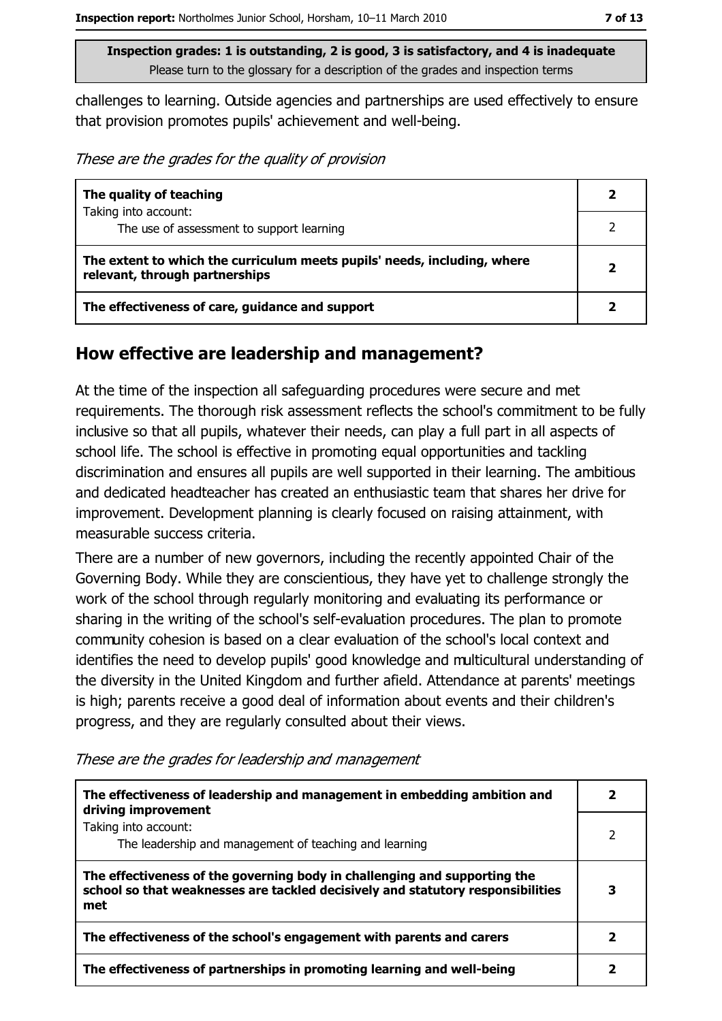challenges to learning. Outside agencies and partnerships are used effectively to ensure that provision promotes pupils' achievement and well-being.

These are the grades for the quality of provision

| The quality of teaching                                                                                    | 2 |
|------------------------------------------------------------------------------------------------------------|---|
| Taking into account:<br>The use of assessment to support learning                                          |   |
| The extent to which the curriculum meets pupils' needs, including, where<br>relevant, through partnerships |   |
| The effectiveness of care, guidance and support                                                            |   |

#### How effective are leadership and management?

At the time of the inspection all safeguarding procedures were secure and met requirements. The thorough risk assessment reflects the school's commitment to be fully inclusive so that all pupils, whatever their needs, can play a full part in all aspects of school life. The school is effective in promoting equal opportunities and tackling discrimination and ensures all pupils are well supported in their learning. The ambitious and dedicated headteacher has created an enthusiastic team that shares her drive for improvement. Development planning is clearly focused on raising attainment, with measurable success criteria.

There are a number of new governors, including the recently appointed Chair of the Governing Body. While they are conscientious, they have yet to challenge strongly the work of the school through regularly monitoring and evaluating its performance or sharing in the writing of the school's self-evaluation procedures. The plan to promote community cohesion is based on a clear evaluation of the school's local context and identifies the need to develop pupils' good knowledge and multicultural understanding of the diversity in the United Kingdom and further afield. Attendance at parents' meetings is high; parents receive a good deal of information about events and their children's progress, and they are regularly consulted about their views.

| The effectiveness of leadership and management in embedding ambition and<br>driving improvement                                                                     |   |
|---------------------------------------------------------------------------------------------------------------------------------------------------------------------|---|
| Taking into account:<br>The leadership and management of teaching and learning                                                                                      |   |
| The effectiveness of the governing body in challenging and supporting the<br>school so that weaknesses are tackled decisively and statutory responsibilities<br>met | З |
| The effectiveness of the school's engagement with parents and carers                                                                                                |   |
| The effectiveness of partnerships in promoting learning and well-being                                                                                              |   |

These are the grades for leadership and management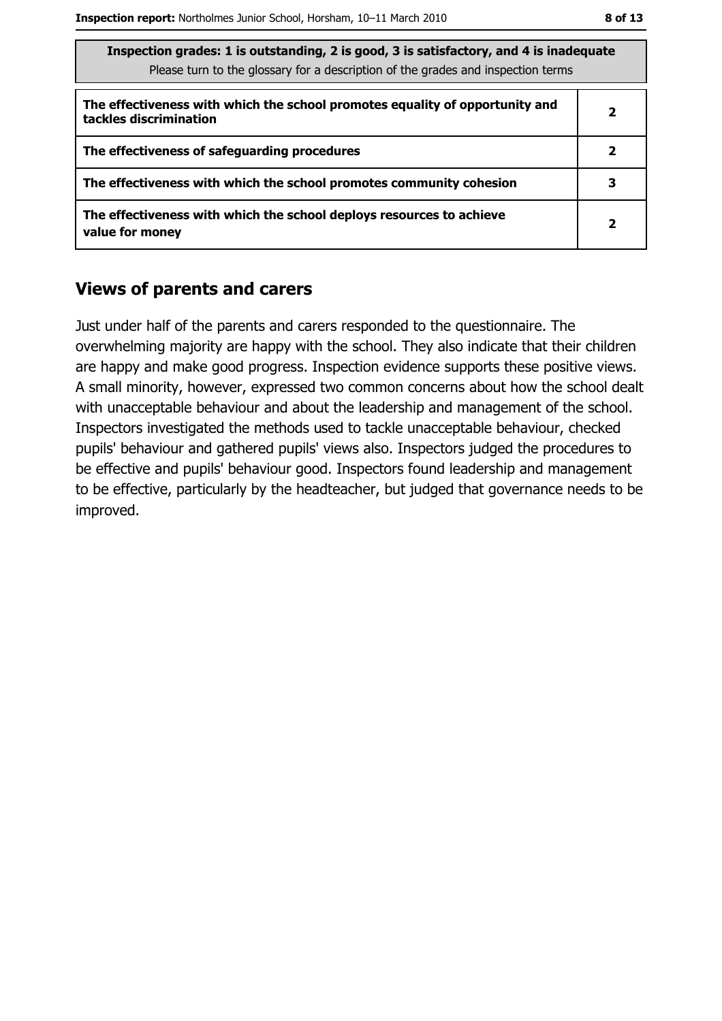| Inspection grades: 1 is outstanding, 2 is good, 3 is satisfactory, and 4 is inadequate |
|----------------------------------------------------------------------------------------|
| Please turn to the glossary for a description of the grades and inspection terms       |

| The effectiveness with which the school promotes equality of opportunity and<br>tackles discrimination |   |
|--------------------------------------------------------------------------------------------------------|---|
| The effectiveness of safeguarding procedures                                                           |   |
| The effectiveness with which the school promotes community cohesion                                    | 3 |
| The effectiveness with which the school deploys resources to achieve<br>value for money                |   |

#### **Views of parents and carers**

Just under half of the parents and carers responded to the questionnaire. The overwhelming majority are happy with the school. They also indicate that their children are happy and make good progress. Inspection evidence supports these positive views. A small minority, however, expressed two common concerns about how the school dealt with unacceptable behaviour and about the leadership and management of the school. Inspectors investigated the methods used to tackle unacceptable behaviour, checked pupils' behaviour and gathered pupils' views also. Inspectors judged the procedures to be effective and pupils' behaviour good. Inspectors found leadership and management to be effective, particularly by the headteacher, but judged that governance needs to be improved.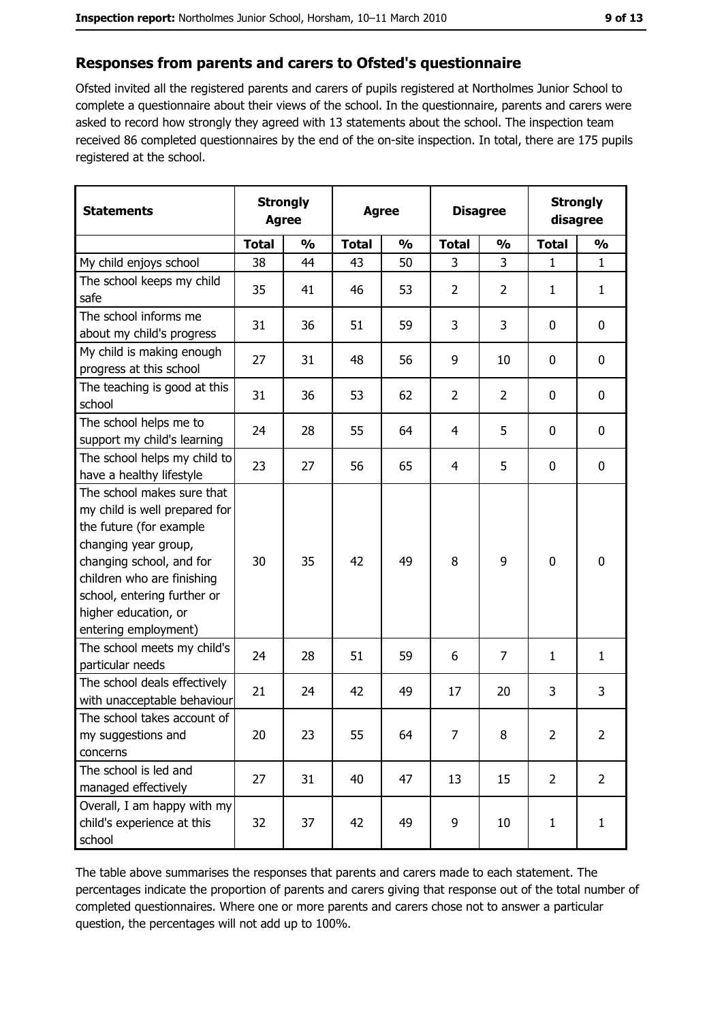#### Responses from parents and carers to Ofsted's questionnaire

Ofsted invited all the registered parents and carers of pupils registered at Northolmes Junior School to complete a questionnaire about their views of the school. In the questionnaire, parents and carers were asked to record how strongly they agreed with 13 statements about the school. The inspection team received 86 completed questionnaires by the end of the on-site inspection. In total, there are 175 pupils registered at the school.

| <b>Statements</b>                                                                                                                                                                                                                                       | <b>Agree</b> | <b>Strongly</b> | <b>Disagree</b><br><b>Agree</b> |                         |                | <b>Strongly</b><br>disagree |                |                |
|---------------------------------------------------------------------------------------------------------------------------------------------------------------------------------------------------------------------------------------------------------|--------------|-----------------|---------------------------------|-------------------------|----------------|-----------------------------|----------------|----------------|
|                                                                                                                                                                                                                                                         | <b>Total</b> | $\frac{1}{2}$   | <b>Total</b>                    | $\mathbf{O}/\mathbf{O}$ | <b>Total</b>   | $\frac{1}{2}$               | <b>Total</b>   | $\frac{1}{2}$  |
| My child enjoys school                                                                                                                                                                                                                                  | 38           | 44              | 43                              | 50                      | 3              | 3                           | 1              | $\mathbf{1}$   |
| The school keeps my child<br>safe                                                                                                                                                                                                                       | 35           | 41              | 46                              | 53                      | $\overline{2}$ | $\overline{2}$              | 1              | $\mathbf{1}$   |
| The school informs me<br>about my child's progress                                                                                                                                                                                                      | 31           | 36              | 51                              | 59                      | 3              | 3                           | $\mathbf 0$    | 0              |
| My child is making enough<br>progress at this school                                                                                                                                                                                                    | 27           | 31              | 48                              | 56                      | 9              | 10                          | $\mathbf 0$    | 0              |
| The teaching is good at this<br>school                                                                                                                                                                                                                  | 31           | 36              | 53                              | 62                      | $\overline{2}$ | $\overline{2}$              | $\mathbf 0$    | 0              |
| The school helps me to<br>support my child's learning                                                                                                                                                                                                   | 24           | 28              | 55                              | 64                      | 4              | 5                           | $\mathbf 0$    | 0              |
| The school helps my child to<br>have a healthy lifestyle                                                                                                                                                                                                | 23           | 27              | 56                              | 65                      | $\overline{4}$ | 5                           | $\mathbf 0$    | 0              |
| The school makes sure that<br>my child is well prepared for<br>the future (for example<br>changing year group,<br>changing school, and for<br>children who are finishing<br>school, entering further or<br>higher education, or<br>entering employment) | 30           | 35              | 42                              | 49                      | 8              | 9                           | 0              | 0              |
| The school meets my child's<br>particular needs                                                                                                                                                                                                         | 24           | 28              | 51                              | 59                      | 6              | 7                           | 1              | $\mathbf{1}$   |
| The school deals effectively<br>with unacceptable behaviour                                                                                                                                                                                             | 21           | 24              | 42                              | 49                      | 17             | 20                          | 3              | 3              |
| The school takes account of<br>my suggestions and<br>concerns                                                                                                                                                                                           | 20           | 23              | 55                              | 64                      | 7              | 8                           | $\overline{2}$ | 2              |
| The school is led and<br>managed effectively                                                                                                                                                                                                            | 27           | 31              | 40                              | 47                      | 13             | 15                          | $\overline{2}$ | $\overline{2}$ |
| Overall, I am happy with my<br>child's experience at this<br>school                                                                                                                                                                                     | 32           | 37              | 42                              | 49                      | 9              | 10                          | $\mathbf{1}$   | $\mathbf{1}$   |

The table above summarises the responses that parents and carers made to each statement. The percentages indicate the proportion of parents and carers giving that response out of the total number of completed questionnaires. Where one or more parents and carers chose not to answer a particular question, the percentages will not add up to 100%.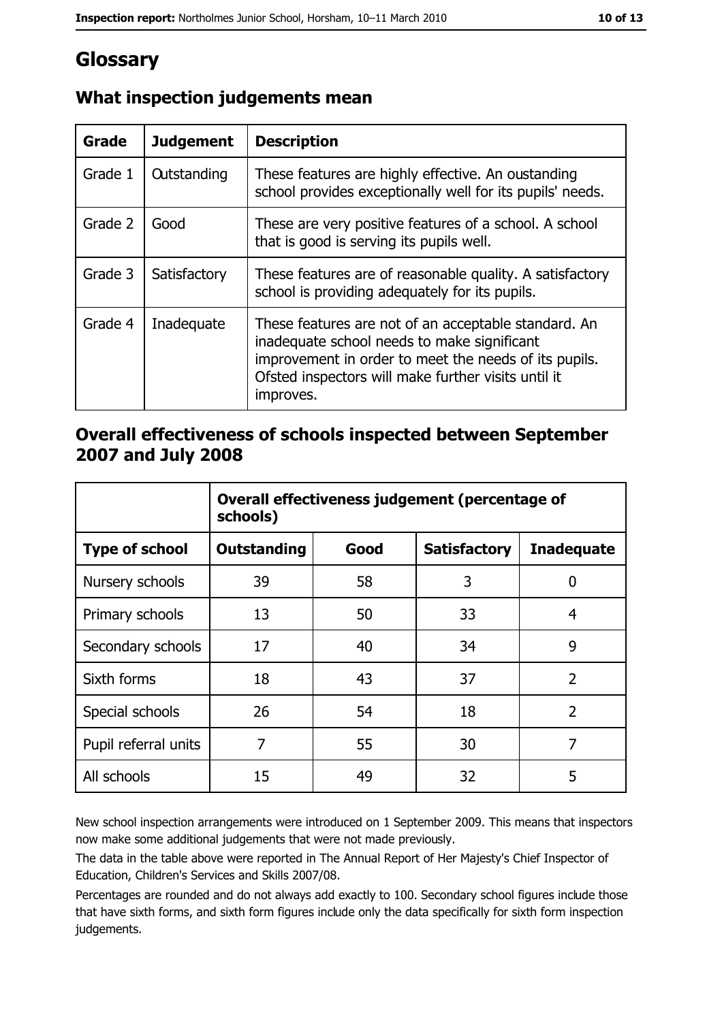# Glossary

| Grade   | <b>Judgement</b>   | <b>Description</b>                                                                                                                                                                                                               |
|---------|--------------------|----------------------------------------------------------------------------------------------------------------------------------------------------------------------------------------------------------------------------------|
| Grade 1 | <b>Outstanding</b> | These features are highly effective. An oustanding<br>school provides exceptionally well for its pupils' needs.                                                                                                                  |
| Grade 2 | Good               | These are very positive features of a school. A school<br>that is good is serving its pupils well.                                                                                                                               |
| Grade 3 | Satisfactory       | These features are of reasonable quality. A satisfactory<br>school is providing adequately for its pupils.                                                                                                                       |
| Grade 4 | Inadequate         | These features are not of an acceptable standard. An<br>inadequate school needs to make significant<br>improvement in order to meet the needs of its pupils.<br>Ofsted inspectors will make further visits until it<br>improves. |

## What inspection judgements mean

## Overall effectiveness of schools inspected between September 2007 and July 2008

|                       | Overall effectiveness judgement (percentage of<br>schools) |      |                     |                   |  |
|-----------------------|------------------------------------------------------------|------|---------------------|-------------------|--|
| <b>Type of school</b> | <b>Outstanding</b>                                         | Good | <b>Satisfactory</b> | <b>Inadequate</b> |  |
| Nursery schools       | 39                                                         | 58   | 3                   | 0                 |  |
| Primary schools       | 13                                                         | 50   | 33                  | 4                 |  |
| Secondary schools     | 17                                                         | 40   | 34                  | 9                 |  |
| Sixth forms           | 18                                                         | 43   | 37                  | $\overline{2}$    |  |
| Special schools       | 26                                                         | 54   | 18                  | $\overline{2}$    |  |
| Pupil referral units  | 7                                                          | 55   | 30                  | 7                 |  |
| All schools           | 15                                                         | 49   | 32                  | 5                 |  |

New school inspection arrangements were introduced on 1 September 2009. This means that inspectors now make some additional judgements that were not made previously.

The data in the table above were reported in The Annual Report of Her Majesty's Chief Inspector of Education, Children's Services and Skills 2007/08.

Percentages are rounded and do not always add exactly to 100. Secondary school figures include those that have sixth forms, and sixth form figures include only the data specifically for sixth form inspection judgements.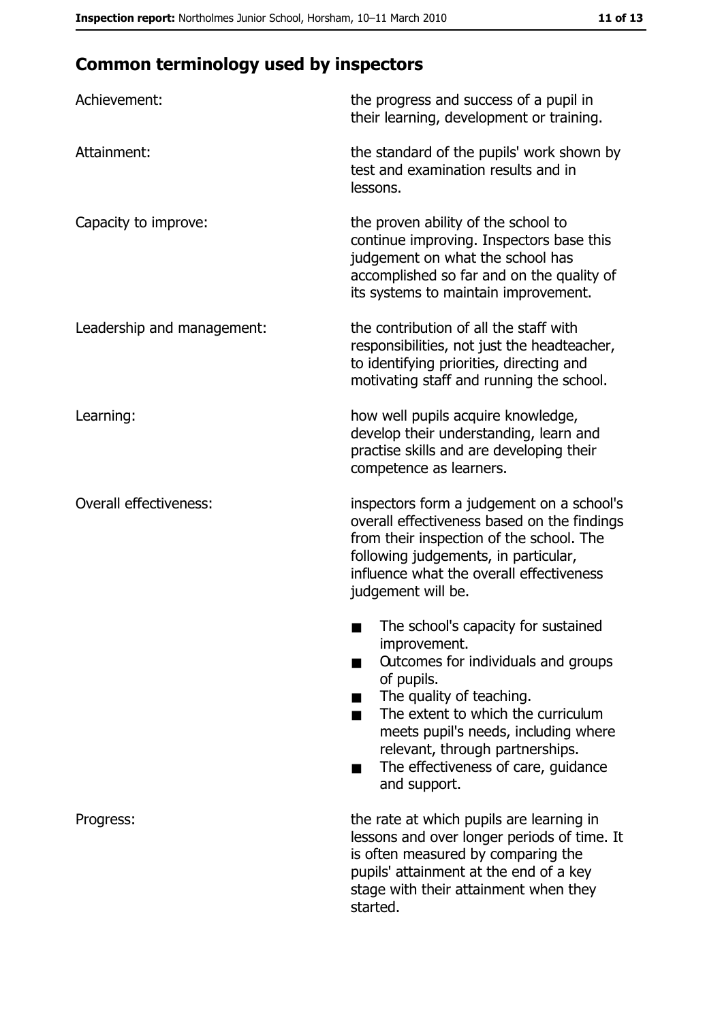# **Common terminology used by inspectors**

| Achievement:                  | the progress and success of a pupil in<br>their learning, development or training.                                                                                                                                                                                                                           |
|-------------------------------|--------------------------------------------------------------------------------------------------------------------------------------------------------------------------------------------------------------------------------------------------------------------------------------------------------------|
| Attainment:                   | the standard of the pupils' work shown by<br>test and examination results and in<br>lessons.                                                                                                                                                                                                                 |
| Capacity to improve:          | the proven ability of the school to<br>continue improving. Inspectors base this<br>judgement on what the school has<br>accomplished so far and on the quality of<br>its systems to maintain improvement.                                                                                                     |
| Leadership and management:    | the contribution of all the staff with<br>responsibilities, not just the headteacher,<br>to identifying priorities, directing and<br>motivating staff and running the school.                                                                                                                                |
| Learning:                     | how well pupils acquire knowledge,<br>develop their understanding, learn and<br>practise skills and are developing their<br>competence as learners.                                                                                                                                                          |
| <b>Overall effectiveness:</b> | inspectors form a judgement on a school's<br>overall effectiveness based on the findings<br>from their inspection of the school. The<br>following judgements, in particular,<br>influence what the overall effectiveness<br>judgement will be.                                                               |
|                               | The school's capacity for sustained<br>improvement.<br>Outcomes for individuals and groups<br>of pupils.<br>The quality of teaching.<br>The extent to which the curriculum<br>meets pupil's needs, including where<br>relevant, through partnerships.<br>The effectiveness of care, guidance<br>and support. |
| Progress:                     | the rate at which pupils are learning in<br>lessons and over longer periods of time. It<br>is often measured by comparing the<br>pupils' attainment at the end of a key<br>stage with their attainment when they<br>started.                                                                                 |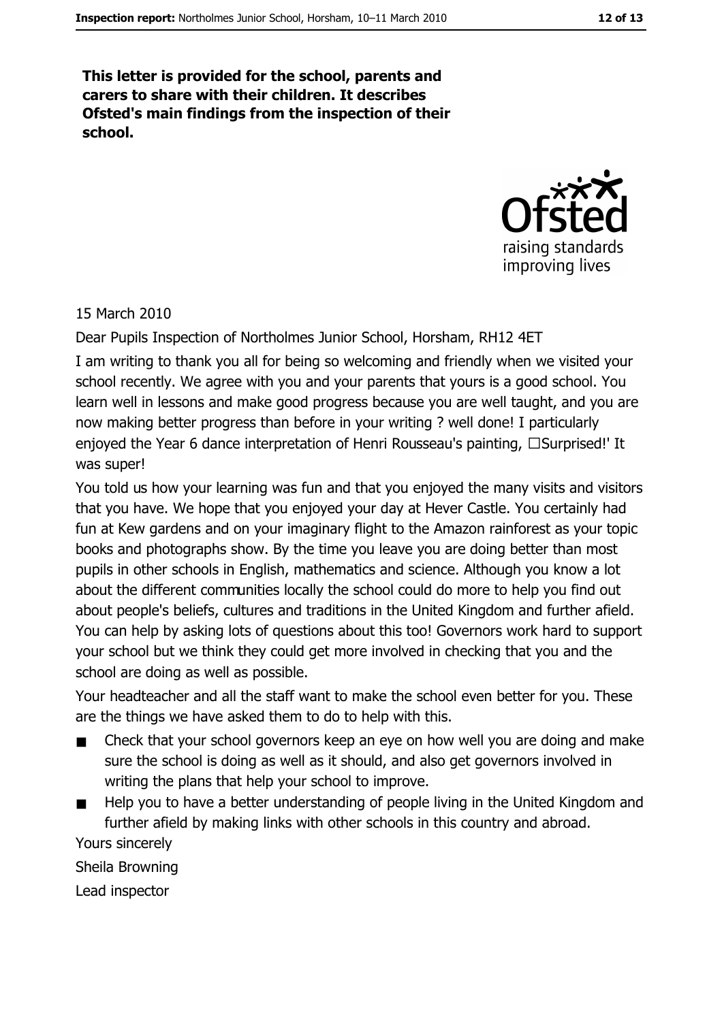This letter is provided for the school, parents and carers to share with their children. It describes Ofsted's main findings from the inspection of their school.



#### 15 March 2010

Dear Pupils Inspection of Northolmes Junior School, Horsham, RH12 4ET

I am writing to thank you all for being so welcoming and friendly when we visited your school recently. We agree with you and your parents that yours is a good school. You learn well in lessons and make good progress because you are well taught, and you are now making better progress than before in your writing ? well done! I particularly enjoyed the Year 6 dance interpretation of Henri Rousseau's painting, □Surprised!' It was super!

You told us how your learning was fun and that you enjoyed the many visits and visitors that you have. We hope that you enjoyed your day at Hever Castle. You certainly had fun at Kew gardens and on your imaginary flight to the Amazon rainforest as your topic books and photographs show. By the time you leave you are doing better than most pupils in other schools in English, mathematics and science. Although you know a lot about the different communities locally the school could do more to help you find out about people's beliefs, cultures and traditions in the United Kingdom and further afield. You can help by asking lots of questions about this too! Governors work hard to support your school but we think they could get more involved in checking that you and the school are doing as well as possible.

Your headteacher and all the staff want to make the school even better for you. These are the things we have asked them to do to help with this.

- Check that your school governors keep an eye on how well you are doing and make  $\blacksquare$ sure the school is doing as well as it should, and also get governors involved in writing the plans that help your school to improve.
- Help you to have a better understanding of people living in the United Kingdom and further afield by making links with other schools in this country and abroad. Yours sincerely

Sheila Browning

Lead inspector